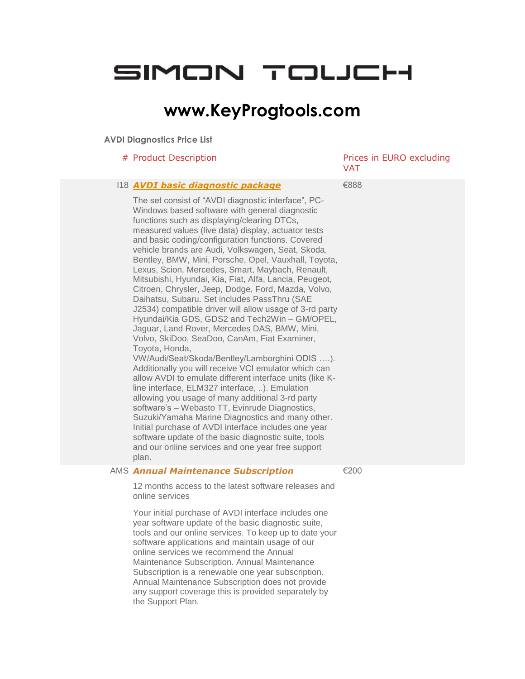# SIMON TOLJCH

## **www.KeyProgtools.com**

### **AVDI Diagnostics Price List**

|  | # Product Description                                                                                                                                                                                                                                                                                                                                                                                                                                                                                                                                                                                                                                                                                                                                                                                                                                                                                                                                                                                                                                                                                                                                                                                                                                                                                                                                                                                                                        | Prices in EURO excluding<br><b>VAT</b> |
|--|----------------------------------------------------------------------------------------------------------------------------------------------------------------------------------------------------------------------------------------------------------------------------------------------------------------------------------------------------------------------------------------------------------------------------------------------------------------------------------------------------------------------------------------------------------------------------------------------------------------------------------------------------------------------------------------------------------------------------------------------------------------------------------------------------------------------------------------------------------------------------------------------------------------------------------------------------------------------------------------------------------------------------------------------------------------------------------------------------------------------------------------------------------------------------------------------------------------------------------------------------------------------------------------------------------------------------------------------------------------------------------------------------------------------------------------------|----------------------------------------|
|  | 118 <b>AVDI basic diagnostic package</b><br>The set consist of "AVDI diagnostic interface", PC-<br>Windows based software with general diagnostic<br>functions such as displaying/clearing DTCs,<br>measured values (live data) display, actuator tests<br>and basic coding/configuration functions. Covered<br>vehicle brands are Audi, Volkswagen, Seat, Skoda,<br>Bentley, BMW, Mini, Porsche, Opel, Vauxhall, Toyota,<br>Lexus, Scion, Mercedes, Smart, Maybach, Renault,<br>Mitsubishi, Hyundai, Kia, Fiat, Alfa, Lancia, Peugeot,<br>Citroen, Chrysler, Jeep, Dodge, Ford, Mazda, Volvo,<br>Daihatsu, Subaru. Set includes PassThru (SAE<br>J2534) compatible driver will allow usage of 3-rd party<br>Hyundai/Kia GDS, GDS2 and Tech2Win - GM/OPEL,<br>Jaguar, Land Rover, Mercedes DAS, BMW, Mini,<br>Volvo, SkiDoo, SeaDoo, CanAm, Fiat Examiner,<br>Toyota, Honda,<br>VW/Audi/Seat/Skoda/Bentley/Lamborghini ODIS ).<br>Additionally you will receive VCI emulator which can<br>allow AVDI to emulate different interface units (like K-<br>line interface, ELM327 interface, ). Emulation<br>allowing you usage of many additional 3-rd party<br>software's - Webasto TT, Evinrude Diagnostics,<br>Suzuki/Yamaha Marine Diagnostics and many other.<br>Initial purchase of AVDI interface includes one year<br>software update of the basic diagnostic suite, tools<br>and our online services and one year free support<br>plan. | €888                                   |
|  | $\triangle M C$ Annual Maintenance Cubecuintian                                                                                                                                                                                                                                                                                                                                                                                                                                                                                                                                                                                                                                                                                                                                                                                                                                                                                                                                                                                                                                                                                                                                                                                                                                                                                                                                                                                              | ∠ാ∩∩                                   |

#### AMS *Annual Maintenance Subscription*

€200

12 months access to the latest software releases and online services

Your initial purchase of AVDI interface includes one year software update of the basic diagnostic suite, tools and our online services. To keep up to date your software applications and maintain usage of our online services we recommend the Annual Maintenance Subscription. Annual Maintenance Subscription is a renewable one year subscription. Annual Maintenance Subscription does not provide any support coverage this is provided separately by the Support Plan.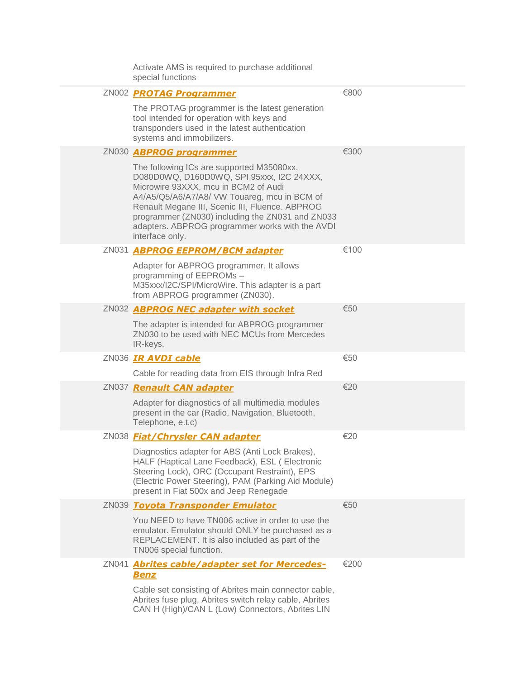| Activate AMS is required to purchase additional<br>special functions                                                                                                                                                                                                                                                                                        |      |
|-------------------------------------------------------------------------------------------------------------------------------------------------------------------------------------------------------------------------------------------------------------------------------------------------------------------------------------------------------------|------|
| ZN002 PROTAG Programmer                                                                                                                                                                                                                                                                                                                                     | €800 |
| The PROTAG programmer is the latest generation<br>tool intended for operation with keys and<br>transponders used in the latest authentication<br>systems and immobilizers.                                                                                                                                                                                  |      |
| ZN030 <b>ABPROG</b> programmer                                                                                                                                                                                                                                                                                                                              | €300 |
| The following ICs are supported M35080xx,<br>D080D0WQ, D160D0WQ, SPI 95xxx, I2C 24XXX,<br>Microwire 93XXX, mcu in BCM2 of Audi<br>A4/A5/Q5/A6/A7/A8/ VW Touareg, mcu in BCM of<br>Renault Megane III, Scenic III, Fluence. ABPROG<br>programmer (ZN030) including the ZN031 and ZN033<br>adapters. ABPROG programmer works with the AVDI<br>interface only. |      |
| ZN031 <b>ABPROG EEPROM/BCM adapter</b>                                                                                                                                                                                                                                                                                                                      | €100 |
| Adapter for ABPROG programmer. It allows<br>programming of EEPROMs -<br>M35xxx/I2C/SPI/MicroWire. This adapter is a part<br>from ABPROG programmer (ZN030).                                                                                                                                                                                                 |      |
| ZN032 ABPROG NEC adapter with socket                                                                                                                                                                                                                                                                                                                        | €50  |
| The adapter is intended for ABPROG programmer<br>ZN030 to be used with NEC MCUs from Mercedes<br>IR-keys.                                                                                                                                                                                                                                                   |      |
| ZN036 IR AVDI cable                                                                                                                                                                                                                                                                                                                                         | €50  |
| Cable for reading data from EIS through Infra Red                                                                                                                                                                                                                                                                                                           |      |
| ZN037 Renault CAN adapter                                                                                                                                                                                                                                                                                                                                   | €20  |
| Adapter for diagnostics of all multimedia modules<br>present in the car (Radio, Navigation, Bluetooth,<br>Telephone, e.t.c)                                                                                                                                                                                                                                 |      |
| ZN038 <b>Fiat/Chrysler CAN adapter</b>                                                                                                                                                                                                                                                                                                                      | €20  |
| Diagnostics adapter for ABS (Anti Lock Brakes),<br>HALF (Haptical Lane Feedback), ESL ( Electronic<br>Steering Lock), ORC (Occupant Restraint), EPS<br>(Electric Power Steering), PAM (Parking Aid Module)<br>present in Fiat 500x and Jeep Renegade                                                                                                        |      |
| ZN039 Toyota Transponder Emulator                                                                                                                                                                                                                                                                                                                           | €50  |
| You NEED to have TN006 active in order to use the<br>emulator. Emulator should ONLY be purchased as a<br>REPLACEMENT. It is also included as part of the<br>TN006 special function.                                                                                                                                                                         |      |
| ZN041 Abrites cable/adapter set for Mercedes-<br><b>Benz</b>                                                                                                                                                                                                                                                                                                | €200 |
| Cable set consisting of Abrites main connector cable,<br>Abrites fuse plug, Abrites switch relay cable, Abrites<br>CAN H (High)/CAN L (Low) Connectors, Abrites LIN                                                                                                                                                                                         |      |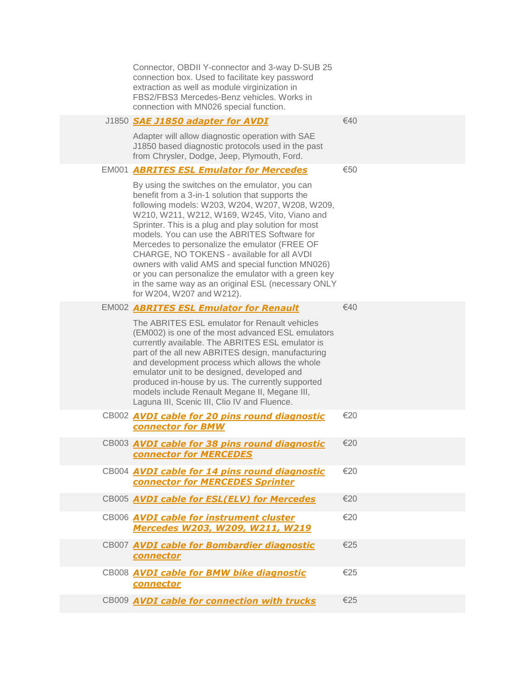|  | Connector, OBDII Y-connector and 3-way D-SUB 25<br>connection box. Used to facilitate key password<br>extraction as well as module virginization in<br>FBS2/FBS3 Mercedes-Benz vehicles. Works in<br>connection with MN026 special function.                                                                                                                                                                                                                                                                                                                                                                 |     |
|--|--------------------------------------------------------------------------------------------------------------------------------------------------------------------------------------------------------------------------------------------------------------------------------------------------------------------------------------------------------------------------------------------------------------------------------------------------------------------------------------------------------------------------------------------------------------------------------------------------------------|-----|
|  | J1850 SAE J1850 adapter for AVDI                                                                                                                                                                                                                                                                                                                                                                                                                                                                                                                                                                             | €40 |
|  | Adapter will allow diagnostic operation with SAE<br>J1850 based diagnostic protocols used in the past<br>from Chrysler, Dodge, Jeep, Plymouth, Ford.                                                                                                                                                                                                                                                                                                                                                                                                                                                         |     |
|  | <b>EM001 ABRITES ESL Emulator for Mercedes</b>                                                                                                                                                                                                                                                                                                                                                                                                                                                                                                                                                               | €50 |
|  | By using the switches on the emulator, you can<br>benefit from a 3-in-1 solution that supports the<br>following models: W203, W204, W207, W208, W209,<br>W210, W211, W212, W169, W245, Vito, Viano and<br>Sprinter. This is a plug and play solution for most<br>models. You can use the ABRITES Software for<br>Mercedes to personalize the emulator (FREE OF<br>CHARGE, NO TOKENS - available for all AVDI<br>owners with valid AMS and special function MN026)<br>or you can personalize the emulator with a green key<br>in the same way as an original ESL (necessary ONLY<br>for W204, W207 and W212). |     |
|  | <b>EM002 ABRITES ESL Emulator for Renault</b>                                                                                                                                                                                                                                                                                                                                                                                                                                                                                                                                                                | €40 |
|  | The ABRITES ESL emulator for Renault vehicles<br>(EM002) is one of the most advanced ESL emulators<br>currently available. The ABRITES ESL emulator is<br>part of the all new ABRITES design, manufacturing<br>and development process which allows the whole<br>emulator unit to be designed, developed and<br>produced in-house by us. The currently supported<br>models include Renault Megane II, Megane III,<br>Laguna III, Scenic III, Clio IV and Fluence.                                                                                                                                            |     |
|  | CB002 <b>AVDI cable for 20 pins round diagnostic</b><br><b>connector for BMW</b>                                                                                                                                                                                                                                                                                                                                                                                                                                                                                                                             | €20 |
|  | CB003 <b>AVDI cable for 38 pins round diagnostic</b><br><b>connector for MERCEDES</b>                                                                                                                                                                                                                                                                                                                                                                                                                                                                                                                        | €20 |
|  | CB004 <b>AVDI cable for 14 pins round diagnostic</b><br><b>connector for MERCEDES Sprinter</b>                                                                                                                                                                                                                                                                                                                                                                                                                                                                                                               | €20 |
|  | CB005 AVDI cable for ESL(ELV) for Mercedes                                                                                                                                                                                                                                                                                                                                                                                                                                                                                                                                                                   | €20 |
|  | CB006 <b>AVDI cable for instrument cluster</b><br>Mercedes W203, W209, W211, W219                                                                                                                                                                                                                                                                                                                                                                                                                                                                                                                            | €20 |
|  | CB007 AVDI cable for Bombardier diagnostic<br>connector                                                                                                                                                                                                                                                                                                                                                                                                                                                                                                                                                      | €25 |
|  | CB008 AVDI cable for BMW bike diagnostic<br>connector                                                                                                                                                                                                                                                                                                                                                                                                                                                                                                                                                        | €25 |
|  | CB009 <b>AVDI cable for connection with trucks</b>                                                                                                                                                                                                                                                                                                                                                                                                                                                                                                                                                           | €25 |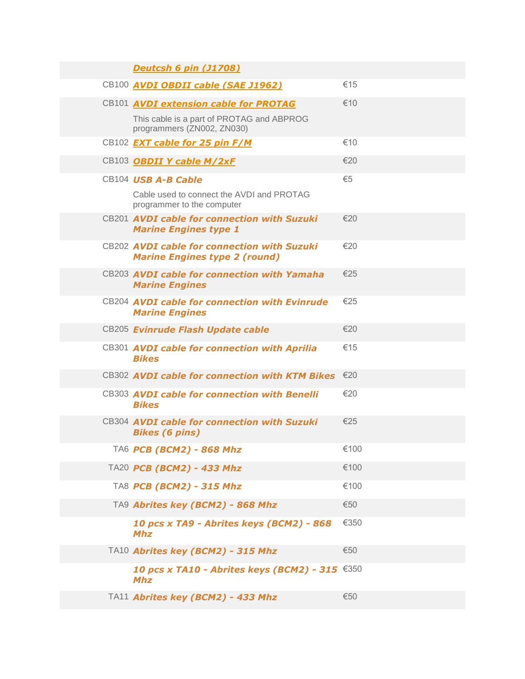| <b>Deutcsh 6 pin (J1708)</b>                                                        |      |
|-------------------------------------------------------------------------------------|------|
| CB100 <b>AVDI OBDII cable (SAE J1962)</b>                                           | €15  |
| CB101 <b>AVDI extension cable for PROTAG</b>                                        | €10  |
| This cable is a part of PROTAG and ABPROG<br>programmers (ZN002, ZN030)             |      |
| CB102 <b>EXT cable for 25 pin F/M</b>                                               | €10  |
| CB103 OBDII Y cable M/2xF                                                           | €20  |
| CB104 USB A-B Cable                                                                 | €5   |
| Cable used to connect the AVDI and PROTAG<br>programmer to the computer             |      |
| CB201 AVDI cable for connection with Suzuki<br><b>Marine Engines type 1</b>         | €20  |
| CB202 AVDI cable for connection with Suzuki<br><b>Marine Engines type 2 (round)</b> | €20  |
| CB203 AVDI cable for connection with Yamaha<br><b>Marine Engines</b>                | €25  |
| CB204 AVDI cable for connection with Evinrude<br><b>Marine Engines</b>              | €25  |
| CB205 Evinrude Flash Update cable                                                   | €20  |
| CB301 AVDI cable for connection with Aprilia<br><b>Bikes</b>                        | €15  |
| CB302 AVDI cable for connection with KTM Bikes                                      | €20  |
| CB303 AVDI cable for connection with Benelli<br><b>Bikes</b>                        | €20  |
| CB304 AVDI cable for connection with Suzuki<br><b>Bikes (6 pins)</b>                | €25  |
| TA6 PCB (BCM2) - 868 Mhz                                                            | €100 |
| TA20 PCB (BCM2) - 433 Mhz                                                           | €100 |
| TA8 PCB (BCM2) - 315 Mhz                                                            | €100 |
| TA9 Abrites key (BCM2) - 868 Mhz                                                    | €50  |
| 10 pcs x TA9 - Abrites keys (BCM2) - 868<br><b>Mhz</b>                              | €350 |
| TA10 Abrites key (BCM2) - 315 Mhz                                                   | €50  |
| <b>10 pcs x TA10 - Abrites keys (BCM2) - 315 €350</b><br><b>Mhz</b>                 |      |
| TA11 Abrites key (BCM2) - 433 Mhz                                                   | €50  |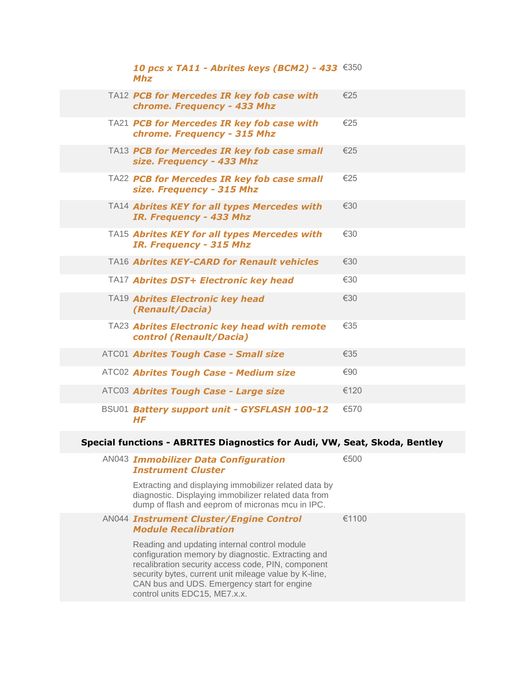| <b>10 pcs x TA11 - Abrites keys (BCM2) - 433 €350</b><br><b>Mhz</b>       |      |
|---------------------------------------------------------------------------|------|
| TA12 PCB for Mercedes IR key fob case with<br>chrome. Frequency - 433 Mhz | €25  |
| TA21 PCB for Mercedes IR key fob case with<br>chrome. Frequency - 315 Mhz | €25  |
| TA13 PCB for Mercedes IR key fob case small<br>size. Frequency - 433 Mhz  | €25  |
| TA22 PCB for Mercedes IR key fob case small<br>size. Frequency - 315 Mhz  | €25  |
| TA14 Abrites KEY for all types Mercedes with<br>IR. Frequency - 433 Mhz   | €30  |
| TA15 Abrites KEY for all types Mercedes with<br>IR. Frequency - 315 Mhz   | €30  |
| TA16 Abrites KEY-CARD for Renault vehicles                                | €30  |
| TA17 Abrites DST+ Electronic key head                                     | €30  |
| TA19 Abrites Electronic key head<br>(Renault/Dacia)                       | €30  |
| TA23 Abrites Electronic key head with remote<br>control (Renault/Dacia)   | €35  |
| ATC01 Abrites Tough Case - Small size                                     | €35  |
| ATC02 Abrites Tough Case - Medium size                                    | €90  |
| ATC03 Abrites Tough Case - Large size                                     | €120 |
| BSU01 Battery support unit - GYSFLASH 100-12<br><b>HF</b>                 | €570 |

### **Special functions - ABRITES Diagnostics for Audi, VW, Seat, Skoda, Bentley**

| <b>AN043 Immobilizer Data Configuration</b><br><b>Instrument Cluster</b>                                                                                                                                                                                                                          | €500  |
|---------------------------------------------------------------------------------------------------------------------------------------------------------------------------------------------------------------------------------------------------------------------------------------------------|-------|
| Extracting and displaying immobilizer related data by<br>diagnostic. Displaying immobilizer related data from<br>dump of flash and eeprom of micronas mcu in IPC.                                                                                                                                 |       |
| <b>AN044 Instrument Cluster/Engine Control</b><br><b>Module Recalibration</b>                                                                                                                                                                                                                     | €1100 |
| Reading and updating internal control module<br>configuration memory by diagnostic. Extracting and<br>recalibration security access code, PIN, component<br>security bytes, current unit mileage value by K-line,<br>CAN bus and UDS. Emergency start for engine<br>control units EDC15, ME7.x.x. |       |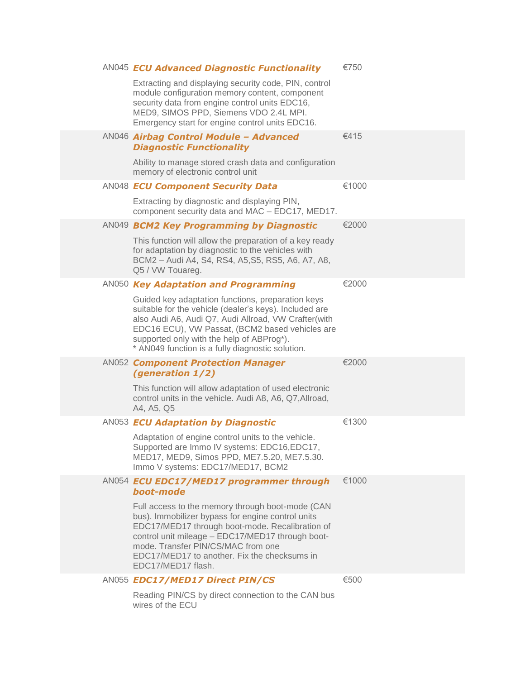|  | <b>AN045 ECU Advanced Diagnostic Functionality</b>                                                                                                                                                                                                                                                                       | €750  |
|--|--------------------------------------------------------------------------------------------------------------------------------------------------------------------------------------------------------------------------------------------------------------------------------------------------------------------------|-------|
|  | Extracting and displaying security code, PIN, control<br>module configuration memory content, component<br>security data from engine control units EDC16,<br>MED9, SIMOS PPD, Siemens VDO 2.4L MPI.<br>Emergency start for engine control units EDC16.                                                                   |       |
|  | AN046 Airbag Control Module - Advanced<br><b>Diagnostic Functionality</b>                                                                                                                                                                                                                                                | €415  |
|  | Ability to manage stored crash data and configuration<br>memory of electronic control unit                                                                                                                                                                                                                               |       |
|  | AN048 ECU Component Security Data                                                                                                                                                                                                                                                                                        | €1000 |
|  | Extracting by diagnostic and displaying PIN,<br>component security data and MAC - EDC17, MED17.                                                                                                                                                                                                                          |       |
|  | AN049 BCM2 Key Programming by Diagnostic                                                                                                                                                                                                                                                                                 | €2000 |
|  | This function will allow the preparation of a key ready<br>for adaptation by diagnostic to the vehicles with<br>BCM2 - Audi A4, S4, RS4, A5, S5, RS5, A6, A7, A8,<br>Q5 / VW Touareg.                                                                                                                                    |       |
|  | AN050 Key Adaptation and Programming                                                                                                                                                                                                                                                                                     | €2000 |
|  | Guided key adaptation functions, preparation keys<br>suitable for the vehicle (dealer's keys). Included are<br>also Audi A6, Audi Q7, Audi Allroad, VW Crafter(with<br>EDC16 ECU), VW Passat, (BCM2 based vehicles are<br>supported only with the help of ABProg*).<br>* AN049 function is a fully diagnostic solution.  |       |
|  | <b>AN052 Component Protection Manager</b><br>(generation 1/2)                                                                                                                                                                                                                                                            | €2000 |
|  | This function will allow adaptation of used electronic<br>control units in the vehicle. Audi A8, A6, Q7, Allroad,<br>A4, A5, Q5                                                                                                                                                                                          |       |
|  | AN053 ECU Adaptation by Diagnostic                                                                                                                                                                                                                                                                                       | €1300 |
|  | Adaptation of engine control units to the vehicle.<br>Supported are Immo IV systems: EDC16,EDC17,<br>MED17, MED9, Simos PPD, ME7.5.20, ME7.5.30.<br>Immo V systems: EDC17/MED17, BCM2                                                                                                                                    |       |
|  | AN054 ECU EDC17/MED17 programmer through<br>boot-mode                                                                                                                                                                                                                                                                    | €1000 |
|  | Full access to the memory through boot-mode (CAN<br>bus). Immobilizer bypass for engine control units<br>EDC17/MED17 through boot-mode. Recalibration of<br>control unit mileage - EDC17/MED17 through boot-<br>mode. Transfer PIN/CS/MAC from one<br>EDC17/MED17 to another. Fix the checksums in<br>EDC17/MED17 flash. |       |
|  | AN055 EDC17/MED17 Direct PIN/CS                                                                                                                                                                                                                                                                                          | €500  |
|  |                                                                                                                                                                                                                                                                                                                          |       |

Reading PIN/CS by direct connection to the CAN bus wires of the ECU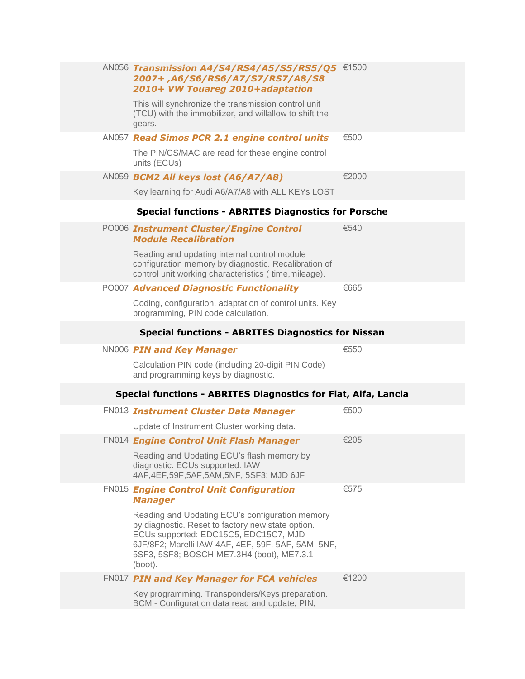|  | AN056 Transmission A4/S4/RS4/A5/S5/RS5/Q5 €1500<br>2007+,A6/S6/RS6/A7/S7/RS7/A8/S8<br>2010+ VW Touareg 2010+adaptation                                                                                                                                      |       |
|--|-------------------------------------------------------------------------------------------------------------------------------------------------------------------------------------------------------------------------------------------------------------|-------|
|  | This will synchronize the transmission control unit<br>(TCU) with the immobilizer, and willallow to shift the<br>gears.                                                                                                                                     |       |
|  | AN057 Read Simos PCR 2.1 engine control units                                                                                                                                                                                                               | €500  |
|  | The PIN/CS/MAC are read for these engine control<br>units (ECUs)                                                                                                                                                                                            |       |
|  | AN059 BCM2 All keys lost (A6/A7/A8)                                                                                                                                                                                                                         | €2000 |
|  | Key learning for Audi A6/A7/A8 with ALL KEYs LOST                                                                                                                                                                                                           |       |
|  | <b>Special functions - ABRITES Diagnostics for Porsche</b>                                                                                                                                                                                                  |       |
|  | PO006 Instrument Cluster/Engine Control<br><b>Module Recalibration</b>                                                                                                                                                                                      | €540  |
|  | Reading and updating internal control module<br>configuration memory by diagnostic. Recalibration of<br>control unit working characteristics (time, mileage).                                                                                               |       |
|  | PO007 Advanced Diagnostic Functionality                                                                                                                                                                                                                     | €665  |
|  | Coding, configuration, adaptation of control units. Key<br>programming, PIN code calculation.                                                                                                                                                               |       |
|  | <b>Special functions - ABRITES Diagnostics for Nissan</b>                                                                                                                                                                                                   |       |
|  | NN006 PIN and Key Manager                                                                                                                                                                                                                                   | €550  |
|  | Calculation PIN code (including 20-digit PIN Code)<br>and programming keys by diagnostic.                                                                                                                                                                   |       |
|  | Special functions - ABRITES Diagnostics for Fiat, Alfa, Lancia                                                                                                                                                                                              |       |
|  | <b>FN013 Instrument Cluster Data Manager</b>                                                                                                                                                                                                                | €500  |
|  | Update of Instrument Cluster working data.                                                                                                                                                                                                                  |       |
|  | FN014 Engine Control Unit Flash Manager                                                                                                                                                                                                                     | €205  |
|  | Reading and Updating ECU's flash memory by<br>diagnostic. ECUs supported: IAW<br>4AF, 4EF, 59F, 5AF, 5AM, 5NF, 5SF3; MJD 6JF                                                                                                                                |       |
|  | <b>FN015 Engine Control Unit Configuration</b><br><b>Manager</b>                                                                                                                                                                                            | €575  |
|  | Reading and Updating ECU's configuration memory<br>by diagnostic. Reset to factory new state option.<br>ECUs supported: EDC15C5, EDC15C7, MJD<br>6JF/8F2; Marelli IAW 4AF, 4EF, 59F, 5AF, 5AM, 5NF,<br>5SF3, 5SF8; BOSCH ME7.3H4 (boot), ME7.3.1<br>(boot). |       |
|  | FN017 PIN and Key Manager for FCA vehicles                                                                                                                                                                                                                  | €1200 |
|  | Key programming. Transponders/Keys preparation.<br>BCM - Configuration data read and update, PIN,                                                                                                                                                           |       |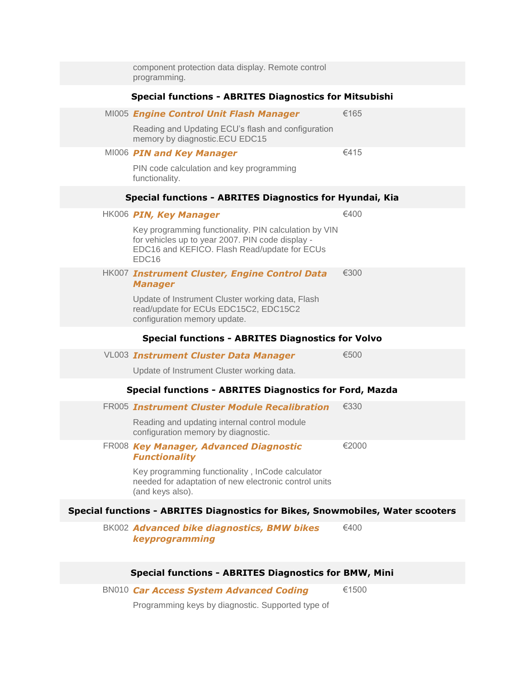| component protection data display. Remote control<br>programming.                                                                                                              |       |
|--------------------------------------------------------------------------------------------------------------------------------------------------------------------------------|-------|
| <b>Special functions - ABRITES Diagnostics for Mitsubishi</b>                                                                                                                  |       |
| MI005 Engine Control Unit Flash Manager                                                                                                                                        | €165  |
| Reading and Updating ECU's flash and configuration<br>memory by diagnostic.ECU EDC15                                                                                           |       |
| MI006 PIN and Key Manager                                                                                                                                                      | €415  |
| PIN code calculation and key programming<br>functionality.                                                                                                                     |       |
| Special functions - ABRITES Diagnostics for Hyundai, Kia                                                                                                                       |       |
| HK006 PIN, Key Manager                                                                                                                                                         | €400  |
| Key programming functionality. PIN calculation by VIN<br>for vehicles up to year 2007. PIN code display -<br>EDC16 and KEFICO. Flash Read/update for ECUs<br>EDC <sub>16</sub> |       |
| HK007 Instrument Cluster, Engine Control Data<br><b>Manager</b>                                                                                                                | €300  |
| Update of Instrument Cluster working data, Flash<br>read/update for ECUs EDC15C2, EDC15C2<br>configuration memory update.                                                      |       |
|                                                                                                                                                                                |       |
| <b>Special functions - ABRITES Diagnostics for Volvo</b>                                                                                                                       |       |
| <b>VL003 Instrument Cluster Data Manager</b>                                                                                                                                   | €500  |
| Update of Instrument Cluster working data.                                                                                                                                     |       |
| <b>Special functions - ABRITES Diagnostics for Ford, Mazda</b>                                                                                                                 |       |
| FR005 Instrument Cluster Module Recalibration                                                                                                                                  | €330  |
| Reading and updating internal control module<br>configuration memory by diagnostic.                                                                                            |       |
| FR008 Key Manager, Advanced Diagnostic<br><b>Functionality</b>                                                                                                                 | €2000 |
| Key programming functionality, InCode calculator<br>needed for adaptation of new electronic control units<br>(and keys also).                                                  |       |
| Special functions - ABRITES Diagnostics for Bikes, Snowmobiles, Water scooters                                                                                                 |       |
| BK002 Advanced bike diagnostics, BMW bikes<br>keyprogramming                                                                                                                   | €400  |
| <b>Special functions - ABRITES Diagnostics for BMW, Mini</b>                                                                                                                   |       |

Programming keys by diagnostic. Supported type of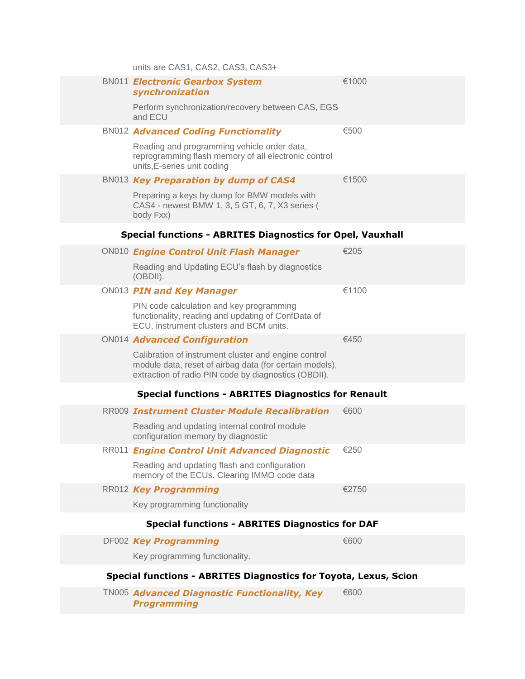|  | units are CAS1, CAS2, CAS3, CAS3+                                                                                                                                       |       |
|--|-------------------------------------------------------------------------------------------------------------------------------------------------------------------------|-------|
|  | <b>BN011 Electronic Gearbox System</b><br>synchronization                                                                                                               | €1000 |
|  | Perform synchronization/recovery between CAS, EGS<br>and ECU                                                                                                            |       |
|  | <b>BN012 Advanced Coding Functionality</b>                                                                                                                              | €500  |
|  | Reading and programming vehicle order data,<br>reprogramming flash memory of all electronic control<br>units, E-series unit coding                                      |       |
|  | BN013 Key Preparation by dump of CAS4                                                                                                                                   | €1500 |
|  | Preparing a keys by dump for BMW models with<br>CAS4 - newest BMW 1, 3, 5 GT, 6, 7, X3 series (<br>body Fxx)                                                            |       |
|  | <b>Special functions - ABRITES Diagnostics for Opel, Vauxhall</b>                                                                                                       |       |
|  | ON010 Engine Control Unit Flash Manager                                                                                                                                 | €205  |
|  | Reading and Updating ECU's flash by diagnostics<br>(OBDII).                                                                                                             |       |
|  | ON013 PIN and Key Manager                                                                                                                                               | €1100 |
|  | PIN code calculation and key programming<br>functionality, reading and updating of ConfData of<br>ECU, instrument clusters and BCM units.                               |       |
|  | ON014 Advanced Configuration                                                                                                                                            | €450  |
|  | Calibration of instrument cluster and engine control<br>module data, reset of airbag data (for certain models),<br>extraction of radio PIN code by diagnostics (OBDII). |       |
|  | <b>Special functions - ABRITES Diagnostics for Renault</b>                                                                                                              |       |
|  | RR009 Instrument Cluster Module Recalibration                                                                                                                           | €600  |
|  | Reading and updating internal control module<br>configuration memory by diagnostic                                                                                      |       |
|  | RR011 Engine Control Unit Advanced Diagnostic                                                                                                                           | €250  |
|  | Reading and updating flash and configuration<br>memory of the ECUs. Clearing IMMO code data                                                                             |       |
|  | RR012 Key Programming                                                                                                                                                   | €2750 |
|  | Key programming functionality                                                                                                                                           |       |
|  | <b>Special functions - ABRITES Diagnostics for DAF</b>                                                                                                                  |       |
|  | DF002 Key Programming                                                                                                                                                   | €600  |
|  | Key programming functionality.                                                                                                                                          |       |
|  | Special functions - ABRITES Diagnostics for Toyota, Lexus, Scion                                                                                                        |       |
|  |                                                                                                                                                                         |       |

TN005 *Advanced Diagnostic Functionality, Key*  €600*Programming*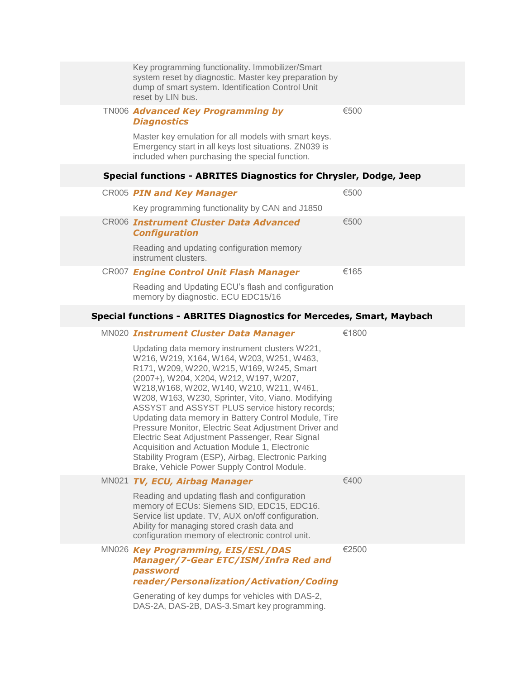|  | Key programming functionality. Immobilizer/Smart<br>system reset by diagnostic. Master key preparation by<br>dump of smart system. Identification Control Unit<br>reset by LIN bus.                                                                                                                                                                                                                                                                                                                                                                                                                                                                                  |       |
|--|----------------------------------------------------------------------------------------------------------------------------------------------------------------------------------------------------------------------------------------------------------------------------------------------------------------------------------------------------------------------------------------------------------------------------------------------------------------------------------------------------------------------------------------------------------------------------------------------------------------------------------------------------------------------|-------|
|  | <b>TN006 Advanced Key Programming by</b><br><b>Diagnostics</b><br>Master key emulation for all models with smart keys.                                                                                                                                                                                                                                                                                                                                                                                                                                                                                                                                               | €500  |
|  | Emergency start in all keys lost situations. ZN039 is<br>included when purchasing the special function.                                                                                                                                                                                                                                                                                                                                                                                                                                                                                                                                                              |       |
|  | Special functions - ABRITES Diagnostics for Chrysler, Dodge, Jeep                                                                                                                                                                                                                                                                                                                                                                                                                                                                                                                                                                                                    |       |
|  | CR005 PIN and Key Manager                                                                                                                                                                                                                                                                                                                                                                                                                                                                                                                                                                                                                                            | €500  |
|  | Key programming functionality by CAN and J1850                                                                                                                                                                                                                                                                                                                                                                                                                                                                                                                                                                                                                       |       |
|  | <b>CR006 Instrument Cluster Data Advanced</b><br><b>Configuration</b>                                                                                                                                                                                                                                                                                                                                                                                                                                                                                                                                                                                                | €500  |
|  | Reading and updating configuration memory<br>instrument clusters.                                                                                                                                                                                                                                                                                                                                                                                                                                                                                                                                                                                                    |       |
|  | CR007 Engine Control Unit Flash Manager                                                                                                                                                                                                                                                                                                                                                                                                                                                                                                                                                                                                                              | €165  |
|  | Reading and Updating ECU's flash and configuration<br>memory by diagnostic. ECU EDC15/16                                                                                                                                                                                                                                                                                                                                                                                                                                                                                                                                                                             |       |
|  | <b>Special functions - ABRITES Diagnostics for Mercedes, Smart, Maybach</b>                                                                                                                                                                                                                                                                                                                                                                                                                                                                                                                                                                                          |       |
|  | MN020 Instrument Cluster Data Manager                                                                                                                                                                                                                                                                                                                                                                                                                                                                                                                                                                                                                                | €1800 |
|  | Updating data memory instrument clusters W221,<br>W216, W219, X164, W164, W203, W251, W463,<br>R171, W209, W220, W215, W169, W245, Smart<br>(2007+), W204, X204, W212, W197, W207,<br>W218, W168, W202, W140, W210, W211, W461,<br>W208, W163, W230, Sprinter, Vito, Viano. Modifying<br>ASSYST and ASSYST PLUS service history records;<br>Updating data memory in Battery Control Module, Tire<br>Pressure Monitor, Electric Seat Adjustment Driver and<br>Electric Seat Adjustment Passenger, Rear Signal<br>Acquisition and Actuation Module 1, Electronic<br>Stability Program (ESP), Airbag, Electronic Parking<br>Brake, Vehicle Power Supply Control Module. |       |
|  | MN021 TV, ECU, Airbag Manager                                                                                                                                                                                                                                                                                                                                                                                                                                                                                                                                                                                                                                        | €400  |
|  | Reading and updating flash and configuration<br>memory of ECUs: Siemens SID, EDC15, EDC16.<br>Service list update. TV, AUX on/off configuration.<br>Ability for managing stored crash data and<br>configuration memory of electronic control unit.                                                                                                                                                                                                                                                                                                                                                                                                                   |       |
|  | MN026 Key Programming, EIS/ESL/DAS<br><b>Manager/7-Gear ETC/ISM/Infra Red and</b><br>password<br>reader/Personalization/Activation/Coding                                                                                                                                                                                                                                                                                                                                                                                                                                                                                                                            | €2500 |
|  | Generating of key dumps for vehicles with DAS-2,                                                                                                                                                                                                                                                                                                                                                                                                                                                                                                                                                                                                                     |       |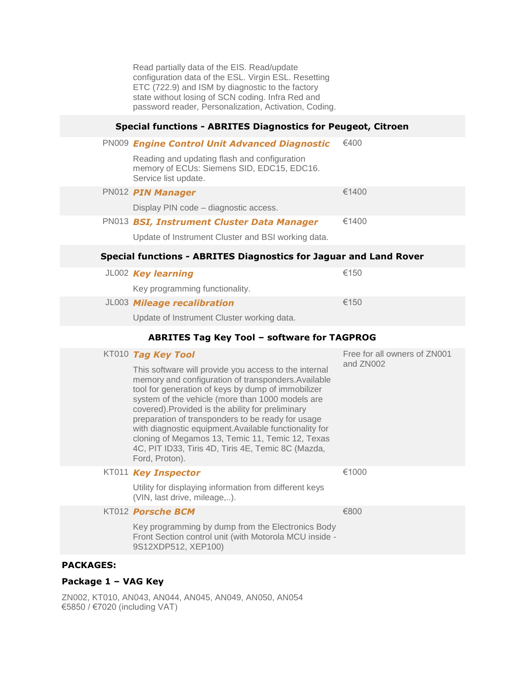Read partially data of the EIS. Read/update configuration data of the ESL. Virgin ESL. Resetting ETC (722.9) and ISM by diagnostic to the factory state without losing of SCN coding. Infra Red and password reader, Personalization, Activation, Coding.

### **Special functions - ABRITES Diagnostics for Peugeot, Citroen**

| <b>PN009 Engine Control Unit Advanced Diagnostic</b>                                                                                                                                                                                                                                                                                                                                                                                                                                                                   | €400                         |
|------------------------------------------------------------------------------------------------------------------------------------------------------------------------------------------------------------------------------------------------------------------------------------------------------------------------------------------------------------------------------------------------------------------------------------------------------------------------------------------------------------------------|------------------------------|
| Reading and updating flash and configuration<br>memory of ECUs: Siemens SID, EDC15, EDC16.<br>Service list update.                                                                                                                                                                                                                                                                                                                                                                                                     |                              |
| PN012 PIN Manager                                                                                                                                                                                                                                                                                                                                                                                                                                                                                                      | €1400                        |
| Display PIN code - diagnostic access.                                                                                                                                                                                                                                                                                                                                                                                                                                                                                  |                              |
| PN013 BSI, Instrument Cluster Data Manager                                                                                                                                                                                                                                                                                                                                                                                                                                                                             | €1400                        |
| Update of Instrument Cluster and BSI working data.                                                                                                                                                                                                                                                                                                                                                                                                                                                                     |                              |
| <b>Special functions - ABRITES Diagnostics for Jaguar and Land Rover</b>                                                                                                                                                                                                                                                                                                                                                                                                                                               |                              |
| JL002 Key learning                                                                                                                                                                                                                                                                                                                                                                                                                                                                                                     | €150                         |
| Key programming functionality.                                                                                                                                                                                                                                                                                                                                                                                                                                                                                         |                              |
| JL003 Mileage recalibration                                                                                                                                                                                                                                                                                                                                                                                                                                                                                            | €150                         |
| Update of Instrument Cluster working data.                                                                                                                                                                                                                                                                                                                                                                                                                                                                             |                              |
| <b>ABRITES Tag Key Tool - software for TAGPROG</b>                                                                                                                                                                                                                                                                                                                                                                                                                                                                     |                              |
| KT010 Tag Key Tool                                                                                                                                                                                                                                                                                                                                                                                                                                                                                                     | Free for all owners of ZN001 |
| This software will provide you access to the internal<br>memory and configuration of transponders. Available<br>tool for generation of keys by dump of immobilizer<br>system of the vehicle (more than 1000 models are<br>covered). Provided is the ability for preliminary<br>preparation of transponders to be ready for usage<br>with diagnostic equipment. Available functionality for<br>cloning of Megamos 13, Temic 11, Temic 12, Texas<br>4C, PIT ID33, Tiris 4D, Tiris 4E, Temic 8C (Mazda,<br>Ford, Proton). | and ZN002                    |
| KT011 Key Inspector                                                                                                                                                                                                                                                                                                                                                                                                                                                                                                    | €1000                        |
| Utility for displaying information from different keys                                                                                                                                                                                                                                                                                                                                                                                                                                                                 |                              |
| (VIN, last drive, mileage,).                                                                                                                                                                                                                                                                                                                                                                                                                                                                                           |                              |
| KT012 Porsche BCM                                                                                                                                                                                                                                                                                                                                                                                                                                                                                                      | €800                         |
| Key programming by dump from the Electronics Body<br>Front Section control unit (with Motorola MCU inside -<br>9S12XDP512, XEP100)                                                                                                                                                                                                                                                                                                                                                                                     |                              |

### **Package 1 – VAG Key**

ZN002, KT010, AN043, AN044, AN045, AN049, AN050, AN054 €5850 / €7020 (including VAT)